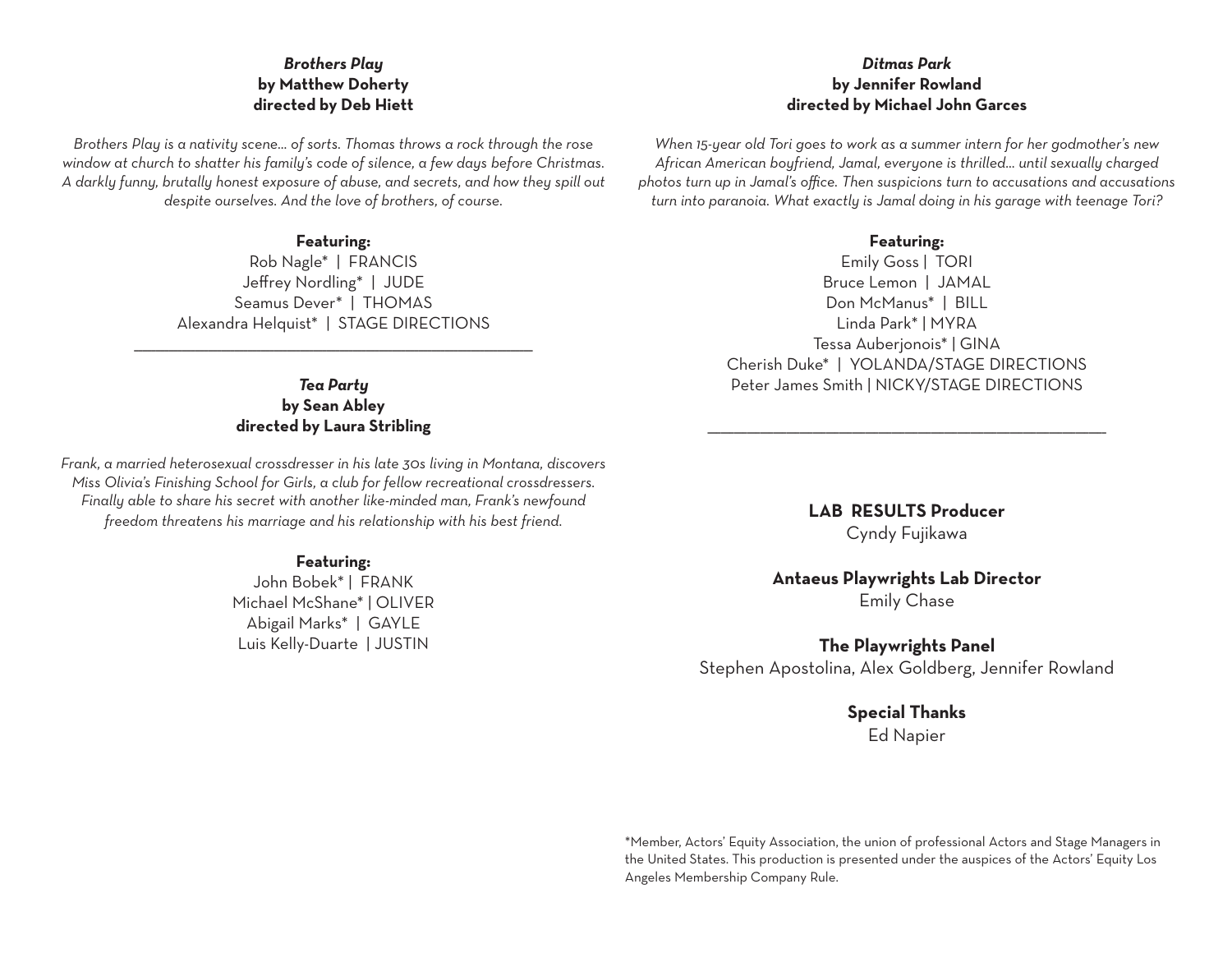#### *Brothers Play* **by Matthew Doherty directed by Deb Hiett**

*Brothers Play is a nativity scene… of sorts. Thomas throws a rock through the rose window at church to shatter his family's code of silence, a few days before Christmas. A darkly funny, brutally honest exposure of abuse, and secrets, and how they spill out despite ourselves. And the love of brothers, of course.*

#### **Featuring:**

Rob Nagle\* | FRANCIS Jeffrey Nordling\* | JUDE Seamus Dever\* | THOMAS Alexandra Helquist\* | STAGE DIRECTIONS

\_\_\_\_\_\_\_\_\_\_\_\_\_\_\_\_\_\_\_\_\_\_\_\_\_\_\_\_\_\_\_\_\_\_\_\_\_\_\_\_\_\_\_\_\_\_\_\_\_\_\_\_\_\_\_\_\_\_\_\_\_\_\_\_\_\_\_\_\_\_\_\_\_\_\_\_\_\_\_\_\_\_\_\_\_\_\_\_\_\_\_

*Tea Party* **by Sean Abley directed by Laura Stribling**

*Frank, a married heterosexual crossdresser in his late 30s living in Montana, discovers Miss Olivia's Finishing School for Girls, a club for fellow recreational crossdressers. Finally able to share his secret with another like-minded man, Frank's newfound freedom threatens his marriage and his relationship with his best friend.*

#### **Featuring:**

John Bobek\* | FRANK Michael McShane\* | OLIVER Abigail Marks\* | GAYLE Luis Kelly-Duarte | JUSTIN

#### *Ditmas Park* **by Jennifer Rowland directed by Michael John Garces**

*When 15-year old Tori goes to work as a summer intern for her godmother's new African American boyfriend, Jamal, everyone is thrilled… until sexually charged photos turn up in Jamal's office. Then suspicions turn to accusations and accusations turn into paranoia. What exactly is Jamal doing in his garage with teenage Tori?*

#### **Featuring:**

Emily Goss | TORI Bruce Lemon | JAMAL Don McManus\* | BILL Linda Park\* | MYRA Tessa Auberjonois\* | GINA Cherish Duke\* | YOLANDA/STAGE DIRECTIONS Peter James Smith | NICKY/STAGE DIRECTIONS

> **LAB RESULTS Producer** Cyndy Fujikawa

\_\_\_\_\_\_\_\_\_\_\_\_\_\_\_\_\_\_\_\_\_\_\_\_\_\_\_\_\_\_\_\_\_\_\_\_\_\_\_\_\_\_\_\_\_\_\_\_\_\_\_\_\_\_\_\_\_\_\_\_\_\_\_\_\_\_\_\_\_\_\_\_\_\_\_\_\_\_\_\_\_\_\_\_\_\_\_\_\_\_\_

#### **Antaeus Playwrights Lab Director** Emily Chase

**The Playwrights Panel**

Stephen Apostolina, Alex Goldberg, Jennifer Rowland

**Special Thanks** Ed Napier

\*Member, Actors' Equity Association, the union of professional Actors and Stage Managers in the United States. This production is presented under the auspices of the Actors' Equity Los Angeles Membership Company Rule.